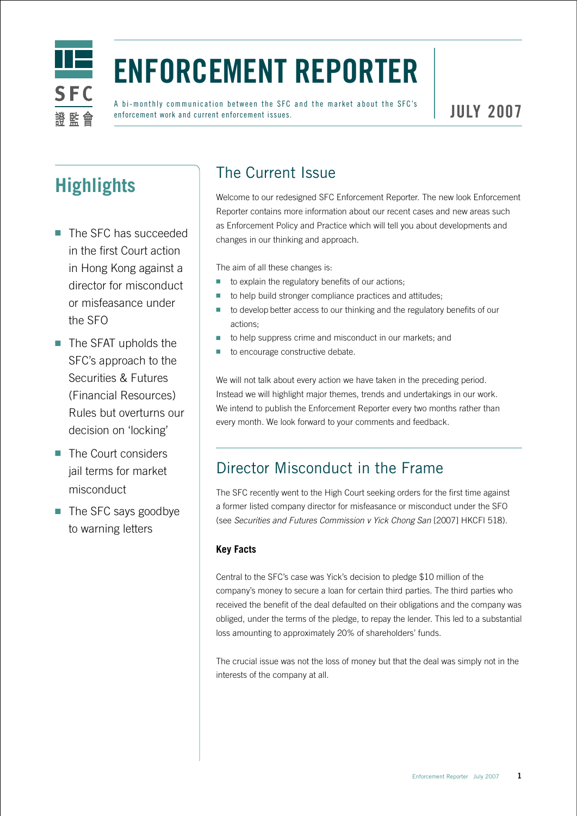

# **Enforcement Reporter**

A bi-monthly communication between the SFC and the market about the SFC's enforcement work and current enforcement issues.

## **Highlights**

- The SFC has succeeded in the first Court action in Hong Kong against a director for misconduct or misfeasance under the SFO
- The SFAT upholds the SFC's approach to the Securities & Futures (Financial Resources) Rules but overturns our decision on 'locking'
- The Court considers jail terms for market misconduct
- The SFC says goodbye to warning letters

## The Current Issue

Welcome to our redesigned SFC Enforcement Reporter. The new look Enforcement Reporter contains more information about our recent cases and new areas such as Enforcement Policy and Practice which will tell you about developments and changes in our thinking and approach.

The aim of all these changes is:

- to explain the regulatory benefits of our actions;
- to help build stronger compliance practices and attitudes;
- to develop better access to our thinking and the regulatory benefits of our actions;
- to help suppress crime and misconduct in our markets; and
- to encourage constructive debate.

We will not talk about every action we have taken in the preceding period. Instead we will highlight major themes, trends and undertakings in our work. We intend to publish the Enforcement Reporter every two months rather than every month. We look forward to your comments and feedback.

#### Director Misconduct in the Frame

The SFC recently went to the High Court seeking orders for the first time against a former listed company director for misfeasance or misconduct under the SFO (see *Securities and Futures Commission v Yick Chong San* [2007] HKCFI 518).

#### **Key Facts**

Central to the SFC's case was Yick's decision to pledge \$10 million of the company's money to secure a loan for certain third parties. The third parties who received the benefit of the deal defaulted on their obligations and the company was obliged, under the terms of the pledge, to repay the lender. This led to a substantial loss amounting to approximately 20% of shareholders' funds.

The crucial issue was not the loss of money but that the deal was simply not in the interests of the company at all.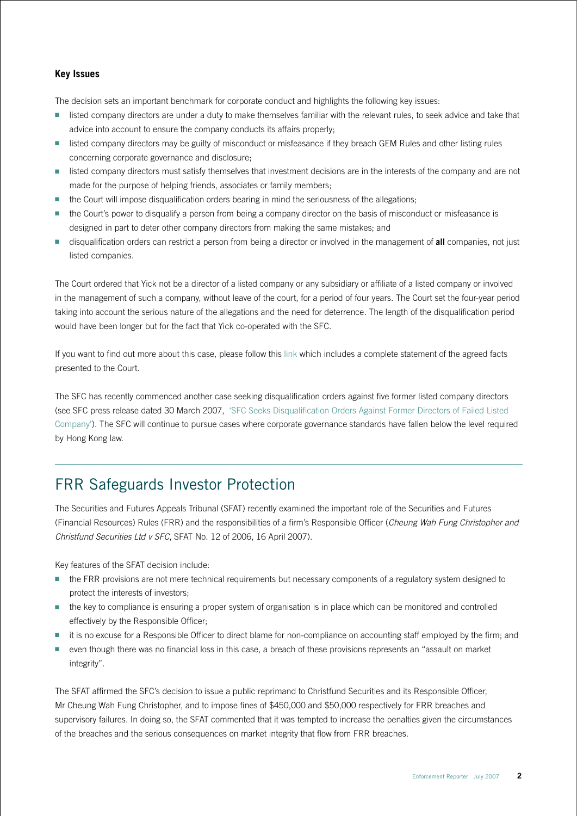#### **Key Issues**

The decision sets an important benchmark for corporate conduct and highlights the following key issues:

- listed company directors are under a duty to make themselves familiar with the relevant rules, to seek advice and take that advice into account to ensure the company conducts its affairs properly;
- listed company directors may be guilty of misconduct or misfeasance if they breach GEM Rules and other listing rules concerning corporate governance and disclosure;
- listed company directors must satisfy themselves that investment decisions are in the interests of the company and are not made for the purpose of helping friends, associates or family members;
- the Court will impose disqualification orders bearing in mind the seriousness of the allegations;
- the Court's power to disqualify a person from being a company director on the basis of misconduct or misfeasance is designed in part to deter other company directors from making the same mistakes; and
- disqualification orders can restrict a person from being a director or involved in the management of **all** companies, not just listed companies.

The Court ordered that Yick not be a director of a listed company or any subsidiary or affiliate of a listed company or involved in the management of such a company, without leave of the court, for a period of four years. The Court set the four-year period taking into account the serious nature of the allegations and the need for deterrence. The length of the disqualification period would have been longer but for the fact that Yick co-operated with the SFC.

If you want to find out more about this case, please follow this [link](http://legalref.judiciary.gov.hk/doc/judg/word/vetted/other/en/2005/HCMP002797_2005.doc) which includes a complete statement of the agreed facts presented to the Court.

The SFC has recently commenced another case seeking disqualification orders against five former listed company directors (see SFC press release dated 30 March 2007, '[SFC Seeks Disqualification Orders Against Former Directors of Failed Listed](http://www.sfc.hk/sfcPressRelease/EN/sfcOpenDocServlet?docno=07PR51)  [Company'](http://www.sfc.hk/sfcPressRelease/EN/sfcOpenDocServlet?docno=07PR51)). The SFC will continue to pursue cases where corporate governance standards have fallen below the level required by Hong Kong law.

### FRR Safeguards Investor Protection

The Securities and Futures Appeals Tribunal (SFAT) recently examined the important role of the Securities and Futures (Financial Resources) Rules (FRR) and the responsibilities of a firm's Responsible Officer (*Cheung Wah Fung Christopher and Christfund Securities Ltd v SFC*, SFAT No. 12 of 2006, 16 April 2007).

Key features of the SFAT decision include:

- the FRR provisions are not mere technical requirements but necessary components of a regulatory system designed to protect the interests of investors;
- the key to compliance is ensuring a proper system of organisation is in place which can be monitored and controlled effectively by the Responsible Officer;
- it is no excuse for a Responsible Officer to direct blame for non-compliance on accounting staff employed by the firm; and
- even though there was no financial loss in this case, a breach of these provisions represents an "assault on market integrity".

The SFAT affirmed the SFC's decision to issue a public reprimand to Christfund Securities and its Responsible Officer, Mr Cheung Wah Fung Christopher, and to impose fines of \$450,000 and \$50,000 respectively for FRR breaches and supervisory failures. In doing so, the SFAT commented that it was tempted to increase the penalties given the circumstances of the breaches and the serious consequences on market integrity that flow from FRR breaches.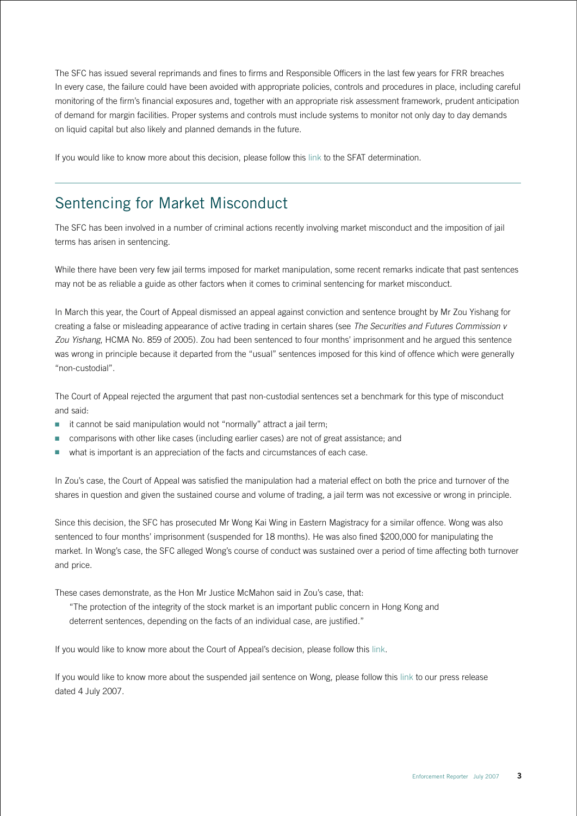The SFC has issued several reprimands and fines to firms and Responsible Officers in the last few years for FRR breaches In every case, the failure could have been avoided with appropriate policies, controls and procedures in place, including careful monitoring of the firm's financial exposures and, together with an appropriate risk assessment framework, prudent anticipation of demand for margin facilities. Proper systems and controls must include systems to monitor not only day to day demands on liquid capital but also likely and planned demands in the future.

If you would like to know more about this decision, please follow this [link](http://www.sfat.gov.hk/english/determination/AN-12-2006-Determination.doc) to the SFAT determination.

#### Sentencing for Market Misconduct

The SFC has been involved in a number of criminal actions recently involving market misconduct and the imposition of jail terms has arisen in sentencing.

While there have been very few jail terms imposed for market manipulation, some recent remarks indicate that past sentences may not be as reliable a guide as other factors when it comes to criminal sentencing for market misconduct.

In March this year, the Court of Appeal dismissed an appeal against conviction and sentence brought by Mr Zou Yishang for creating a false or misleading appearance of active trading in certain shares (see *The Securities and Futures Commission v Zou Yishang*, HCMA No. 859 of 2005). Zou had been sentenced to four months' imprisonment and he argued this sentence was wrong in principle because it departed from the "usual" sentences imposed for this kind of offence which were generally "non-custodial".

The Court of Appeal rejected the argument that past non-custodial sentences set a benchmark for this type of misconduct and said:

- $\blacksquare$  it cannot be said manipulation would not "normally" attract a jail term:
- comparisons with other like cases (including earlier cases) are not of great assistance; and
- what is important is an appreciation of the facts and circumstances of each case.

In Zou's case, the Court of Appeal was satisfied the manipulation had a material effect on both the price and turnover of the shares in question and given the sustained course and volume of trading, a jail term was not excessive or wrong in principle.

Since this decision, the SFC has prosecuted Mr Wong Kai Wing in Eastern Magistracy for a similar offence. Wong was also sentenced to four months' imprisonment (suspended for 18 months). He was also fined \$200,000 for manipulating the market. In Wong's case, the SFC alleged Wong's course of conduct was sustained over a period of time affecting both turnover and price.

These cases demonstrate, as the Hon Mr Justice McMahon said in Zou's case, that:

"The protection of the integrity of the stock market is an important public concern in Hong Kong and deterrent sentences, depending on the facts of an individual case, are justified."

If you would like to know more about the Court of Appeal's decision, please follow this [link](http://legalref.judiciary.gov.hk/doc/judg/word/vetted/other/en/2005/HCMA000859_2005.doc).

If you would like to know more about the suspended jail sentence on Wong, please follow this [link](http://www.sfc.hk/sfcPressRelease/EN/sfcOpenDocServlet?save=1&docno=07PR113) to our press release dated 4 July 2007.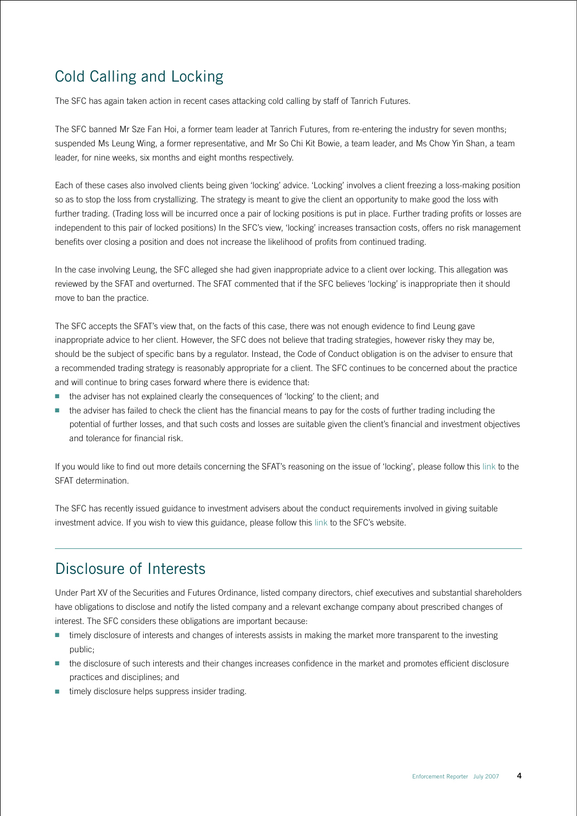## Cold Calling and Locking

The SFC has again taken action in recent cases attacking cold calling by staff of Tanrich Futures.

The SFC banned Mr Sze Fan Hoi, a former team leader at Tanrich Futures, from re-entering the industry for seven months; suspended Ms Leung Wing, a former representative, and Mr So Chi Kit Bowie, a team leader, and Ms Chow Yin Shan, a team leader, for nine weeks, six months and eight months respectively.

Each of these cases also involved clients being given 'locking' advice. 'Locking' involves a client freezing a loss-making position so as to stop the loss from crystallizing. The strategy is meant to give the client an opportunity to make good the loss with further trading. (Trading loss will be incurred once a pair of locking positions is put in place. Further trading profits or losses are independent to this pair of locked positions) In the SFC's view, 'locking' increases transaction costs, offers no risk management benefits over closing a position and does not increase the likelihood of profits from continued trading.

In the case involving Leung, the SFC alleged she had given inappropriate advice to a client over locking. This allegation was reviewed by the SFAT and overturned. The SFAT commented that if the SFC believes 'locking' is inappropriate then it should move to ban the practice.

The SFC accepts the SFAT's view that, on the facts of this case, there was not enough evidence to find Leung gave inappropriate advice to her client. However, the SFC does not believe that trading strategies, however risky they may be, should be the subject of specific bans by a regulator. Instead, the Code of Conduct obligation is on the adviser to ensure that a recommended trading strategy is reasonably appropriate for a client. The SFC continues to be concerned about the practice and will continue to bring cases forward where there is evidence that:

- the adviser has not explained clearly the consequences of 'locking' to the client; and
- the adviser has failed to check the client has the financial means to pay for the costs of further trading including the potential of further losses, and that such costs and losses are suitable given the client's financial and investment objectives and tolerance for financial risk.

If you would like to find out more details concerning the SFAT's reasoning on the issue of 'locking', please follow this [link](http://www.sfat.gov.hk/english/determination/AN-8-2006-Determination.doc) to the SFAT determination.

The SFC has recently issued guidance to investment advisers about the conduct requirements involved in giving suitable investment advice. If you wish to view this guidance, please follow this [link](http://www.sfc.hk/sfcPressRelease/EN/sfcOpenDocServlet?save=1&docno=07PR79) to the SFC's website.

#### Disclosure of Interests

Under Part XV of the Securities and Futures Ordinance, listed company directors, chief executives and substantial shareholders have obligations to disclose and notify the listed company and a relevant exchange company about prescribed changes of interest. The SFC considers these obligations are important because:

- timely disclosure of interests and changes of interests assists in making the market more transparent to the investing public;
- the disclosure of such interests and their changes increases confidence in the market and promotes efficient disclosure practices and disciplines; and
- timely disclosure helps suppress insider trading.